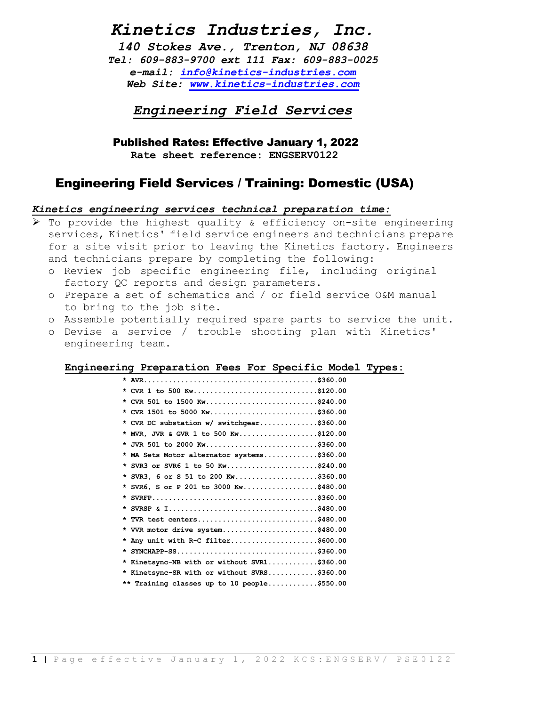## Kinetics Industries, Inc.

140 Stokes Ave., Trenton, NJ 08638 Tel: 609-883-9700 ext 111 Fax: 609-883-0025 e-mail: info@kinetics-industries.com Web Site: www.kinetics-industries.com

Engineering Field Services

Published Rates: Effective January 1, 2022

Rate sheet reference: ENGSERV0122

### Engineering Field Services / Training: Domestic (USA)

#### Kinetics engineering services technical preparation time:

 To provide the highest quality & efficiency on-site engineering services, Kinetics' field service engineers and technicians prepare for a site visit prior to leaving the Kinetics factory. Engineers and technicians prepare by completing the following:

- o Review job specific engineering file, including original factory QC reports and design parameters.
- o Prepare a set of schematics and / or field service O&M manual to bring to the job site.
- o Assemble potentially required spare parts to service the unit.
- o Devise a service / trouble shooting plan with Kinetics' engineering team.

#### Engineering Preparation Fees For Specific Model Types:

| * CVR 1 to 500 Kw\$120.00                   |
|---------------------------------------------|
| * CVR 501 to 1500 Kw\$240.00                |
| * CVR 1501 to 5000 Kw\$360.00               |
| * CVR DC substation w/ switchgear\$360.00   |
| * MVR, JVR & GVR 1 to 500 Kw\$120.00        |
| * JVR 501 to 2000 Kw\$360.00                |
| * MA Sets Motor alternator systems\$360.00  |
| * SVR3 or SVR6 1 to 50 Kw\$240.00           |
| * SVR3, 6 or S 51 to 200 Kw\$360.00         |
| * SVR6, S or P 201 to 3000 Kw\$480.00       |
|                                             |
|                                             |
| * TVR test centers\$480.00                  |
| * VVR motor drive system\$480.00            |
| * Any unit with R-C filter\$600.00          |
|                                             |
| * Kinetsync-NB with or without SVR1\$360.00 |
| * Kinetsync-SR with or without SVRS\$360.00 |
| ** Training classes up to 10 people\$550.00 |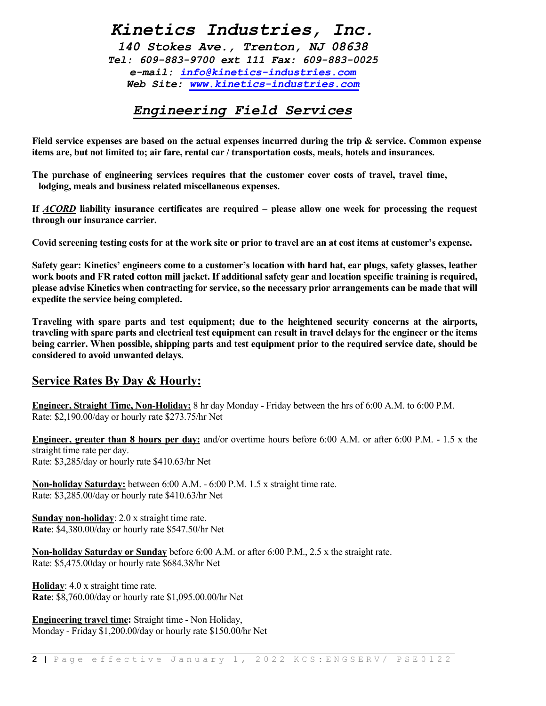# Kinetics Industries, Inc.

140 Stokes Ave., Trenton, NJ 08638 Tel: 609-883-9700 ext 111 Fax: 609-883-0025 e-mail: info@kinetics-industries.com Web Site: www.kinetics-industries.com

## Engineering Field Services

Field service expenses are based on the actual expenses incurred during the trip & service. Common expense items are, but not limited to; air fare, rental car / transportation costs, meals, hotels and insurances.

The purchase of engineering services requires that the customer cover costs of travel, travel time, lodging, meals and business related miscellaneous expenses.

If ACORD liability insurance certificates are required – please allow one week for processing the request through our insurance carrier.

Covid screening testing costs for at the work site or prior to travel are an at cost items at customer's expense.

Safety gear: Kinetics' engineers come to a customer's location with hard hat, ear plugs, safety glasses, leather work boots and FR rated cotton mill jacket. If additional safety gear and location specific training is required, please advise Kinetics when contracting for service, so the necessary prior arrangements can be made that will expedite the service being completed.

Traveling with spare parts and test equipment; due to the heightened security concerns at the airports, traveling with spare parts and electrical test equipment can result in travel delays for the engineer or the items being carrier. When possible, shipping parts and test equipment prior to the required service date, should be considered to avoid unwanted delays.

### Service Rates By Day & Hourly:

Engineer, Straight Time, Non-Holiday: 8 hr day Monday - Friday between the hrs of 6:00 A.M. to 6:00 P.M. Rate: \$2,190.00/day or hourly rate \$273.75/hr Net

Engineer, greater than 8 hours per day: and/or overtime hours before 6:00 A.M. or after 6:00 P.M. - 1.5 x the straight time rate per day. Rate: \$3,285/day or hourly rate \$410.63/hr Net

Non-holiday Saturday: between 6:00 A.M. - 6:00 P.M. 1.5 x straight time rate. Rate: \$3,285.00/day or hourly rate \$410.63/hr Net

Sunday non-holiday: 2.0 x straight time rate. Rate: \$4,380.00/day or hourly rate \$547.50/hr Net

Non-holiday Saturday or Sunday before 6:00 A.M. or after 6:00 P.M., 2.5 x the straight rate. Rate: \$5,475.00day or hourly rate \$684.38/hr Net

Holiday: 4.0 x straight time rate. Rate: \$8,760.00/day or hourly rate \$1,095.00.00/hr Net

Engineering travel time: Straight time - Non Holiday, Monday - Friday \$1,200.00/day or hourly rate \$150.00/hr Net